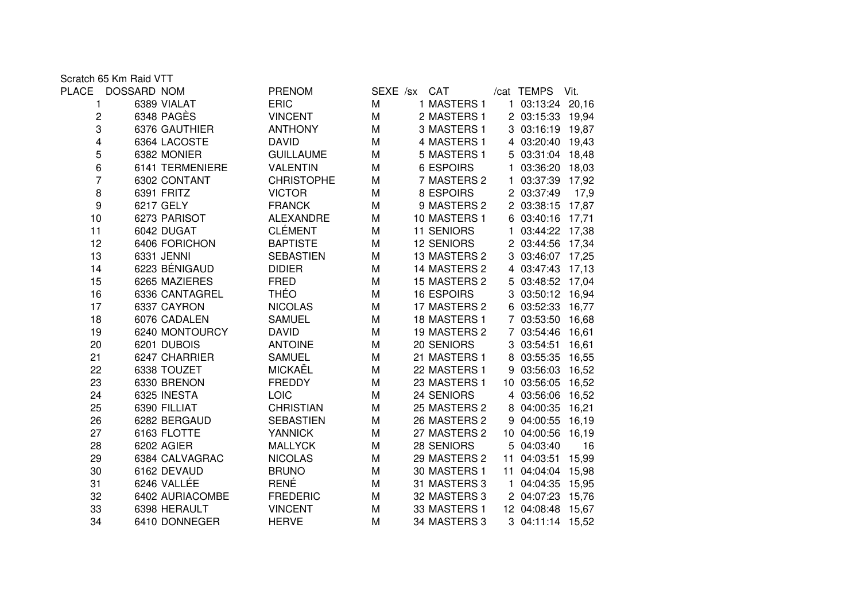Scratch 65 Km Raid VTT

| PLACE | DOSSARD NOM |                 | <b>PRENOM</b>     | SEXE /sx | <b>CAT</b>        |              | /cat TEMPS        | Vit.  |
|-------|-------------|-----------------|-------------------|----------|-------------------|--------------|-------------------|-------|
| 1     |             | 6389 VIALAT     | <b>ERIC</b>       | M        | 1 MASTERS 1       |              | 1 03:13:24 20,16  |       |
| 2     |             | 6348 PAGÈS      | <b>VINCENT</b>    | M        | 2 MASTERS 1       |              | 2 03:15:33 19,94  |       |
| 3     |             | 6376 GAUTHIER   | <b>ANTHONY</b>    | M        | 3 MASTERS 1       |              | 3 03:16:19 19,87  |       |
| 4     |             | 6364 LACOSTE    | <b>DAVID</b>      | M        | 4 MASTERS 1       |              | 4 03:20:40 19,43  |       |
| 5     |             | 6382 MONIER     | <b>GUILLAUME</b>  | M        | 5 MASTERS 1       |              | 5 03:31:04 18,48  |       |
| 6     |             | 6141 TERMENIERE | <b>VALENTIN</b>   | M        | <b>6 ESPOIRS</b>  | $\mathbf{1}$ | 03:36:20 18,03    |       |
| 7     |             | 6302 CONTANT    | <b>CHRISTOPHE</b> | M        | 7 MASTERS 2       |              | 1 03:37:39 17,92  |       |
| 8     |             | 6391 FRITZ      | <b>VICTOR</b>     | M        | 8 ESPOIRS         |              | 2 03:37:49        | 17,9  |
| 9     |             | 6217 GELY       | <b>FRANCK</b>     | M        | 9 MASTERS 2       |              | 2 03:38:15        | 17,87 |
| 10    |             | 6273 PARISOT    | <b>ALEXANDRE</b>  | M        | 10 MASTERS 1      |              | 6 03:40:16        | 17,71 |
| 11    |             | 6042 DUGAT      | <b>CLÉMENT</b>    | M        | <b>11 SENIORS</b> | 1.           | 03:44:22 17,38    |       |
| 12    |             | 6406 FORICHON   | <b>BAPTISTE</b>   | M        | <b>12 SENIORS</b> |              | 2 03:44:56 17,34  |       |
| 13    |             | 6331 JENNI      | <b>SEBASTIEN</b>  | M        | 13 MASTERS 2      |              | 3 03:46:07 17,25  |       |
| 14    |             | 6223 BÉNIGAUD   | <b>DIDIER</b>     | M        | 14 MASTERS 2      |              | 4 03:47:43        | 17,13 |
| 15    |             | 6265 MAZIERES   | <b>FRED</b>       | M        | 15 MASTERS 2      |              | 5 03:48:52 17,04  |       |
| 16    |             | 6336 CANTAGREL  | <b>THÉO</b>       | M        | <b>16 ESPOIRS</b> |              | 3 03:50:12 16,94  |       |
| 17    |             | 6337 CAYRON     | <b>NICOLAS</b>    | M        | 17 MASTERS 2      |              | 6 03:52:33 16,77  |       |
| 18    |             | 6076 CADALEN    | <b>SAMUEL</b>     | M        | 18 MASTERS 1      |              | 7 03:53:50 16,68  |       |
| 19    |             | 6240 MONTOURCY  | <b>DAVID</b>      | M        | 19 MASTERS 2      |              | 7 03:54:46        | 16,61 |
| 20    |             | 6201 DUBOIS     | <b>ANTOINE</b>    | M        | 20 SENIORS        |              | 3 03:54:51        | 16,61 |
| 21    |             | 6247 CHARRIER   | <b>SAMUEL</b>     | M        | 21 MASTERS 1      |              | 8 03:55:35 16,55  |       |
| 22    |             | 6338 TOUZET     | MICKAËL           | M        | 22 MASTERS 1      |              | 9 03:56:03 16,52  |       |
| 23    |             | 6330 BRENON     | <b>FREDDY</b>     | M        | 23 MASTERS 1      |              | 10 03:56:05       | 16,52 |
| 24    |             | 6325 INESTA     | <b>LOIC</b>       | M        | 24 SENIORS        |              | 4 03:56:06        | 16,52 |
| 25    |             | 6390 FILLIAT    | <b>CHRISTIAN</b>  | M        | 25 MASTERS 2      |              | 8 04:00:35        | 16,21 |
| 26    |             | 6282 BERGAUD    | <b>SEBASTIEN</b>  | M        | 26 MASTERS 2      |              | 9 04:00:55        | 16,19 |
| 27    |             | 6163 FLOTTE     | <b>YANNICK</b>    | M        | 27 MASTERS 2      |              | 10 04:00:56       | 16,19 |
| 28    |             | 6202 AGIER      | <b>MALLYCK</b>    | M        | 28 SENIORS        |              | 5 04:03:40        | 16    |
| 29    |             | 6384 CALVAGRAC  | <b>NICOLAS</b>    | M        | 29 MASTERS 2      |              | 11 04:03:51       | 15,99 |
| 30    |             | 6162 DEVAUD     | <b>BRUNO</b>      | M        | 30 MASTERS 1      |              | 11 04:04:04 15,98 |       |
| 31    |             | 6246 VALLÉE     | <b>RENÉ</b>       | M        | 31 MASTERS 3      | 1            | 04:04:35          | 15,95 |
| 32    |             | 6402 AURIACOMBE | <b>FREDERIC</b>   | М        | 32 MASTERS 3      |              | 2 04:07:23        | 15,76 |
| 33    |             | 6398 HERAULT    | <b>VINCENT</b>    | M        | 33 MASTERS 1      |              | 12 04:08:48 15,67 |       |
| 34    |             | 6410 DONNEGER   | <b>HERVE</b>      | M        | 34 MASTERS 3      |              | 3 04:11:14 15,52  |       |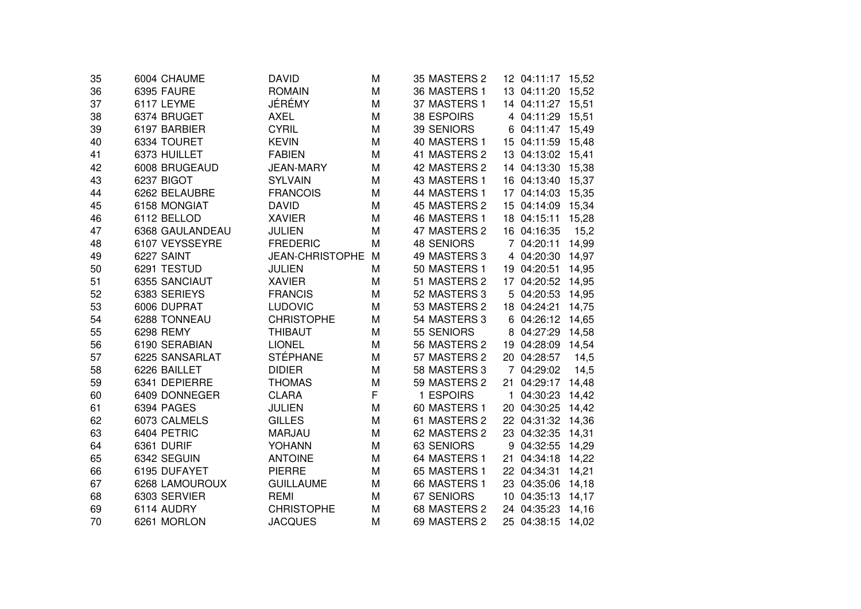| 35 | 6004 CHAUME     | <b>DAVID</b>           | M | 35 MASTERS 2      |    | 12 04:11:17 15,52 |       |
|----|-----------------|------------------------|---|-------------------|----|-------------------|-------|
| 36 | 6395 FAURE      | <b>ROMAIN</b>          | M | 36 MASTERS 1      |    | 13 04:11:20       | 15,52 |
| 37 | 6117 LEYME      | JÉRÉMY                 | Μ | 37 MASTERS 1      |    | 14 04:11:27       | 15,51 |
| 38 | 6374 BRUGET     | <b>AXEL</b>            | Μ | 38 ESPOIRS        |    | 4 04:11:29        | 15,51 |
| 39 | 6197 BARBIER    | <b>CYRIL</b>           | M | 39 SENIORS        | 6  | 04:11:47 15,49    |       |
| 40 | 6334 TOURET     | <b>KEVIN</b>           | M | 40 MASTERS 1      |    | 15 04:11:59       | 15,48 |
| 41 | 6373 HUILLET    | <b>FABIEN</b>          | Μ | 41 MASTERS 2      |    | 13 04:13:02 15,41 |       |
| 42 | 6008 BRUGEAUD   | <b>JEAN-MARY</b>       | Μ | 42 MASTERS 2      |    | 14 04:13:30       | 15,38 |
| 43 | 6237 BIGOT      | <b>SYLVAIN</b>         | Μ | 43 MASTERS 1      |    | 16 04:13:40       | 15,37 |
| 44 | 6262 BELAUBRE   | <b>FRANCOIS</b>        | Μ | 44 MASTERS 1      |    | 17 04:14:03       | 15,35 |
| 45 | 6158 MONGIAT    | <b>DAVID</b>           | Μ | 45 MASTERS 2      |    | 15 04:14:09       | 15,34 |
| 46 | 6112 BELLOD     | <b>XAVIER</b>          | M | 46 MASTERS 1      |    | 18 04:15:11       | 15,28 |
| 47 | 6368 GAULANDEAU | <b>JULIEN</b>          | M | 47 MASTERS 2      |    | 16 04:16:35       | 15,2  |
| 48 | 6107 VEYSSEYRE  | <b>FREDERIC</b>        | M | <b>48 SENIORS</b> |    | 7 04:20:11        | 14,99 |
| 49 | 6227 SAINT      | <b>JEAN-CHRISTOPHE</b> | M | 49 MASTERS 3      |    | 4 04:20:30        | 14,97 |
| 50 | 6291 TESTUD     | <b>JULIEN</b>          | M | 50 MASTERS 1      |    | 19 04:20:51       | 14,95 |
| 51 | 6355 SANCIAUT   | <b>XAVIER</b>          | Μ | 51 MASTERS 2      |    | 17 04:20:52 14,95 |       |
| 52 | 6383 SERIEYS    | <b>FRANCIS</b>         | Μ | 52 MASTERS 3      | 5  | 04:20:53          | 14,95 |
| 53 | 6006 DUPRAT     | <b>LUDOVIC</b>         | M | 53 MASTERS 2      | 18 | 04:24:21          | 14,75 |
| 54 | 6288 TONNEAU    | <b>CHRISTOPHE</b>      | M | 54 MASTERS 3      | 6  | 04:26:12          | 14,65 |
| 55 | 6298 REMY       | <b>THIBAUT</b>         | Μ | 55 SENIORS        | 8  | 04:27:29          | 14,58 |
| 56 | 6190 SERABIAN   | <b>LIONEL</b>          | Μ | 56 MASTERS 2      | 19 | 04:28:09          | 14,54 |
| 57 | 6225 SANSARLAT  | <b>STÉPHANE</b>        | M | 57 MASTERS 2      |    | 20 04:28:57       | 14,5  |
| 58 | 6226 BAILLET    | <b>DIDIER</b>          | M | 58 MASTERS 3      |    | 7 04:29:02        | 14,5  |
| 59 | 6341 DEPIERRE   | <b>THOMAS</b>          | M | 59 MASTERS 2      | 21 | 04:29:17          | 14,48 |
| 60 | 6409 DONNEGER   | <b>CLARA</b>           | F | 1 ESPOIRS         | 1. | 04:30:23          | 14,42 |
| 61 | 6394 PAGES      | <b>JULIEN</b>          | M | 60 MASTERS 1      |    | 20 04:30:25       | 14,42 |
| 62 | 6073 CALMELS    | <b>GILLES</b>          | Μ | 61 MASTERS 2      |    | 22 04:31:32 14,36 |       |
| 63 | 6404 PETRIC     | MARJAU                 | Μ | 62 MASTERS 2      |    | 23 04:32:35       | 14,31 |
| 64 | 6361 DURIF      | <b>YOHANN</b>          | M | 63 SENIORS        | 9  | 04:32:55          | 14,29 |
| 65 | 6342 SEGUIN     | <b>ANTOINE</b>         | Μ | 64 MASTERS 1      | 21 | 04:34:18          | 14,22 |
| 66 | 6195 DUFAYET    | <b>PIERRE</b>          | Μ | 65 MASTERS 1      |    | 22 04:34:31       | 14,21 |
| 67 | 6268 LAMOUROUX  | <b>GUILLAUME</b>       | Μ | 66 MASTERS 1      |    | 23 04:35:06       | 14,18 |
| 68 | 6303 SERVIER    | <b>REMI</b>            | Μ | 67 SENIORS        |    | 10 04:35:13       | 14,17 |
| 69 | 6114 AUDRY      | <b>CHRISTOPHE</b>      | Μ | 68 MASTERS 2      |    | 24 04:35:23       | 14,16 |
| 70 | 6261 MORLON     | <b>JACQUES</b>         | М | 69 MASTERS 2      |    | 25 04:38:15       | 14,02 |
|    |                 |                        |   |                   |    |                   |       |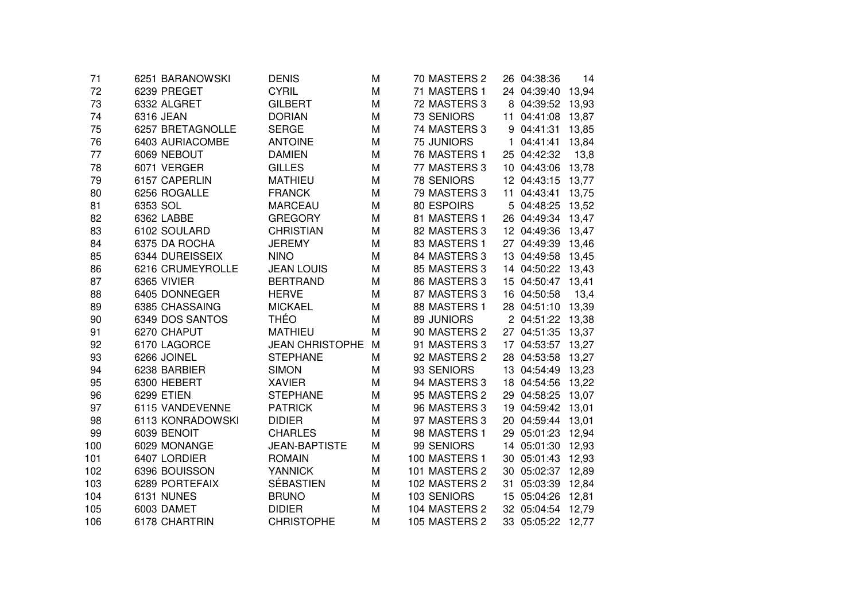| 71  | 6251 BARANOWSKI  | DENIS                  | М | 70 MASTERS 2  |    | 26 04:38:36       | 14    |
|-----|------------------|------------------------|---|---------------|----|-------------------|-------|
| 72  | 6239 PREGET      | <b>CYRIL</b>           | M | 71 MASTERS 1  |    | 24 04:39:40       | 13,94 |
| 73  | 6332 ALGRET      | <b>GILBERT</b>         | M | 72 MASTERS 3  | 8  | 04:39:52          | 13,93 |
| 74  | 6316 JEAN        | <b>DORIAN</b>          | M | 73 SENIORS    | 11 | 04:41:08          | 13,87 |
| 75  | 6257 BRETAGNOLLE | <b>SERGE</b>           | M | 74 MASTERS 3  | 9  | 04:41:31          | 13,85 |
| 76  | 6403 AURIACOMBE  | <b>ANTOINE</b>         | M | 75 JUNIORS    |    | 04:41:41          | 13,84 |
| 77  | 6069 NEBOUT      | <b>DAMIEN</b>          | M | 76 MASTERS 1  |    | 25 04:42:32       | 13,8  |
| 78  | 6071 VERGER      | <b>GILLES</b>          | M | 77 MASTERS 3  |    | 10 04:43:06       | 13,78 |
| 79  | 6157 CAPERLIN    | <b>MATHIEU</b>         | M | 78 SENIORS    |    | 12 04:43:15       | 13,77 |
| 80  | 6256 ROGALLE     | <b>FRANCK</b>          | M | 79 MASTERS 3  | 11 | 04:43:41          | 13,75 |
| 81  | 6353 SOL         | <b>MARCEAU</b>         | Μ | 80 ESPOIRS    |    | 5 04:48:25        | 13,52 |
| 82  | 6362 LABBE       | <b>GREGORY</b>         | Μ | 81 MASTERS 1  |    | 26 04:49:34 13,47 |       |
| 83  | 6102 SOULARD     | <b>CHRISTIAN</b>       | Μ | 82 MASTERS 3  |    | 12 04:49:36       | 13,47 |
| 84  | 6375 DA ROCHA    | <b>JEREMY</b>          | M | 83 MASTERS 1  |    | 27 04:49:39 13,46 |       |
| 85  | 6344 DUREISSEIX  | <b>NINO</b>            | M | 84 MASTERS 3  |    | 13 04:49:58       | 13,45 |
| 86  | 6216 CRUMEYROLLE | <b>JEAN LOUIS</b>      | M | 85 MASTERS 3  |    | 14 04:50:22 13,43 |       |
| 87  | 6365 VIVIER      | <b>BERTRAND</b>        | M | 86 MASTERS 3  |    | 15 04:50:47 13,41 |       |
| 88  | 6405 DONNEGER    | <b>HERVE</b>           | M | 87 MASTERS 3  |    | 16 04:50:58       | 13,4  |
| 89  | 6385 CHASSAING   | <b>MICKAEL</b>         | M | 88 MASTERS 1  |    | 28 04:51:10       | 13,39 |
| 90  | 6349 DOS SANTOS  | <b>THÉO</b>            | M | 89 JUNIORS    |    | 2 04:51:22        | 13,38 |
| 91  | 6270 CHAPUT      | <b>MATHIEU</b>         | М | 90 MASTERS 2  |    | 27 04:51:35       | 13,37 |
| 92  | 6170 LAGORCE     | <b>JEAN CHRISTOPHE</b> | M | 91 MASTERS 3  |    | 17 04:53:57       | 13,27 |
| 93  | 6266 JOINEL      | <b>STEPHANE</b>        | Μ | 92 MASTERS 2  |    | 28 04:53:58       | 13,27 |
| 94  | 6238 BARBIER     | <b>SIMON</b>           | Μ | 93 SENIORS    |    | 13 04:54:49       | 13,23 |
| 95  | 6300 HEBERT      | <b>XAVIER</b>          | M | 94 MASTERS 3  |    | 18 04:54:56       | 13,22 |
| 96  | 6299 ETIEN       | <b>STEPHANE</b>        | M | 95 MASTERS 2  |    | 29 04:58:25       | 13,07 |
| 97  | 6115 VANDEVENNE  | <b>PATRICK</b>         | M | 96 MASTERS 3  |    | 19 04:59:42       | 13,01 |
| 98  | 6113 KONRADOWSKI | <b>DIDIER</b>          | M | 97 MASTERS 3  |    | 20 04:59:44       | 13,01 |
| 99  | 6039 BENOIT      | <b>CHARLES</b>         | M | 98 MASTERS 1  |    | 29 05:01:23       | 12,94 |
| 100 | 6029 MONANGE     | <b>JEAN-BAPTISTE</b>   | M | 99 SENIORS    |    | 14 05:01:30       | 12,93 |
| 101 | 6407 LORDIER     | <b>ROMAIN</b>          | M | 100 MASTERS 1 |    | 30 05:01:43       | 12,93 |
| 102 | 6396 BOUISSON    | <b>YANNICK</b>         | M | 101 MASTERS 2 |    | 30 05:02:37 12,89 |       |
| 103 | 6289 PORTEFAIX   | <b>SÉBASTIEN</b>       | Μ | 102 MASTERS 2 | 31 | 05:03:39          | 12,84 |
| 104 | 6131 NUNES       | <b>BRUNO</b>           | Μ | 103 SENIORS   |    | 15 05:04:26       | 12,81 |
| 105 | 6003 DAMET       | <b>DIDIER</b>          | M | 104 MASTERS 2 |    | 32 05:04:54 12,79 |       |
| 106 | 6178 CHARTRIN    | <b>CHRISTOPHE</b>      | М | 105 MASTERS 2 |    | 33 05:05:22 12,77 |       |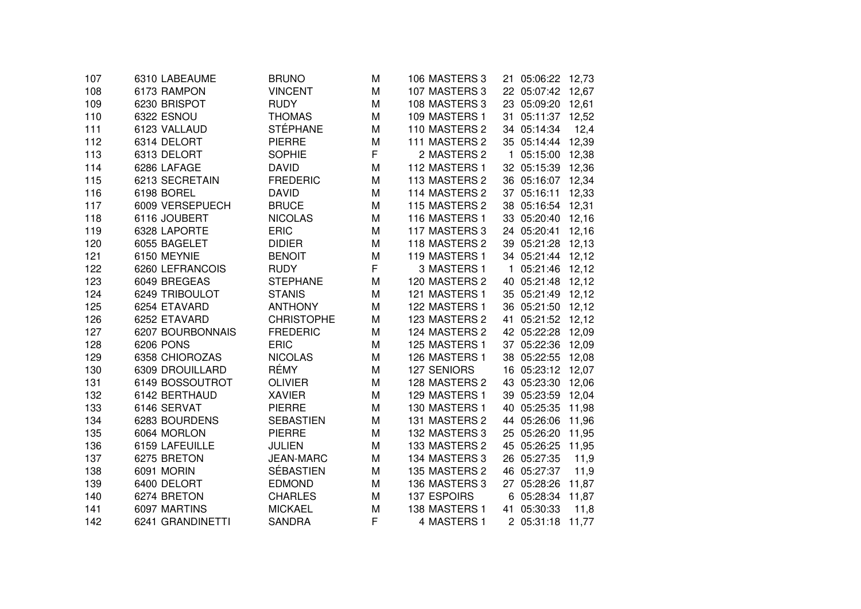| 107 | 6310 LABEAUME    | <b>BRUNO</b>      | Μ | 106 MASTERS 3 | 21 05:06:22 12,73              |       |
|-----|------------------|-------------------|---|---------------|--------------------------------|-------|
| 108 | 6173 RAMPON      | <b>VINCENT</b>    | M | 107 MASTERS 3 | 22 05:07:42 12,67              |       |
| 109 | 6230 BRISPOT     | <b>RUDY</b>       | M | 108 MASTERS 3 | 23 05:09:20                    | 12,61 |
| 110 | 6322 ESNOU       | <b>THOMAS</b>     | M | 109 MASTERS 1 | 31 05:11:37 12,52              |       |
| 111 | 6123 VALLAUD     | <b>STÉPHANE</b>   | M | 110 MASTERS 2 | 34 05:14:34                    | 12,4  |
| 112 | 6314 DELORT      | <b>PIERRE</b>     | M | 111 MASTERS 2 | 35 05:14:44 12,39              |       |
| 113 | 6313 DELORT      | <b>SOPHIE</b>     | F | 2 MASTERS 2   | 05:15:00 12,38<br>$\mathbf{1}$ |       |
| 114 | 6286 LAFAGE      | <b>DAVID</b>      | M | 112 MASTERS 1 | 32 05:15:39 12,36              |       |
| 115 | 6213 SECRETAIN   | <b>FREDERIC</b>   | M | 113 MASTERS 2 | 36 05:16:07 12,34              |       |
| 116 | 6198 BOREL       | <b>DAVID</b>      | M | 114 MASTERS 2 | 37 05:16:11                    | 12,33 |
| 117 | 6009 VERSEPUECH  | <b>BRUCE</b>      | M | 115 MASTERS 2 | 38 05:16:54 12,31              |       |
| 118 | 6116 JOUBERT     | <b>NICOLAS</b>    | M | 116 MASTERS 1 | 33 05:20:40 12,16              |       |
| 119 | 6328 LAPORTE     | <b>ERIC</b>       | M | 117 MASTERS 3 | 24 05:20:41 12,16              |       |
| 120 | 6055 BAGELET     | <b>DIDIER</b>     | M | 118 MASTERS 2 | 39 05:21:28 12,13              |       |
| 121 | 6150 MEYNIE      | <b>BENOIT</b>     | M | 119 MASTERS 1 | 34 05:21:44 12,12              |       |
| 122 | 6260 LEFRANCOIS  | <b>RUDY</b>       | F | 3 MASTERS 1   | 1 05:21:46 12,12               |       |
| 123 | 6049 BREGEAS     | <b>STEPHANE</b>   | М | 120 MASTERS 2 | 40 05:21:48 12,12              |       |
| 124 | 6249 TRIBOULOT   | <b>STANIS</b>     | M | 121 MASTERS 1 | 35 05:21:49 12,12              |       |
| 125 | 6254 ETAVARD     | <b>ANTHONY</b>    | M | 122 MASTERS 1 | 36 05:21:50 12,12              |       |
| 126 | 6252 ETAVARD     | <b>CHRISTOPHE</b> | M | 123 MASTERS 2 | 05:21:52 12,12<br>41           |       |
| 127 | 6207 BOURBONNAIS | <b>FREDERIC</b>   | M | 124 MASTERS 2 | 42 05:22:28                    | 12,09 |
| 128 | <b>6206 PONS</b> | <b>ERIC</b>       | M | 125 MASTERS 1 | 37 05:22:36                    | 12,09 |
| 129 | 6358 CHIOROZAS   | <b>NICOLAS</b>    | M | 126 MASTERS 1 | 38 05:22:55                    | 12,08 |
| 130 | 6309 DROUILLARD  | RÉMY              | M | 127 SENIORS   | 16 05:23:12 12,07              |       |
| 131 | 6149 BOSSOUTROT  | <b>OLIVIER</b>    | M | 128 MASTERS 2 | 43 05:23:30 12,06              |       |
| 132 | 6142 BERTHAUD    | <b>XAVIER</b>     | M | 129 MASTERS 1 | 39 05:23:59                    | 12,04 |
| 133 | 6146 SERVAT      | <b>PIERRE</b>     | M | 130 MASTERS 1 | 40 05:25:35                    | 11,98 |
| 134 | 6283 BOURDENS    | <b>SEBASTIEN</b>  | M | 131 MASTERS 2 | 44 05:26:06                    | 11,96 |
| 135 | 6064 MORLON      | <b>PIERRE</b>     | М | 132 MASTERS 3 | 25 05:26:20 11,95              |       |
| 136 | 6159 LAFEUILLE   | <b>JULIEN</b>     | M | 133 MASTERS 2 | 45 05:26:25                    | 11,95 |
| 137 | 6275 BRETON      | <b>JEAN-MARC</b>  | M | 134 MASTERS 3 | 26 05:27:35                    | 11,9  |
| 138 | 6091 MORIN       | <b>SÉBASTIEN</b>  | M | 135 MASTERS 2 | 46 05:27:37                    | 11,9  |
| 139 | 6400 DELORT      | <b>EDMOND</b>     | M | 136 MASTERS 3 | 27 05:28:26                    | 11,87 |
| 140 | 6274 BRETON      | <b>CHARLES</b>    | M | 137 ESPOIRS   | 6 05:28:34                     | 11,87 |
| 141 | 6097 MARTINS     | <b>MICKAEL</b>    | M | 138 MASTERS 1 | 41 05:30:33                    | 11,8  |
| 142 | 6241 GRANDINETTI | <b>SANDRA</b>     | F | 4 MASTERS 1   | 2 05:31:18                     | 11,77 |
|     |                  |                   |   |               |                                |       |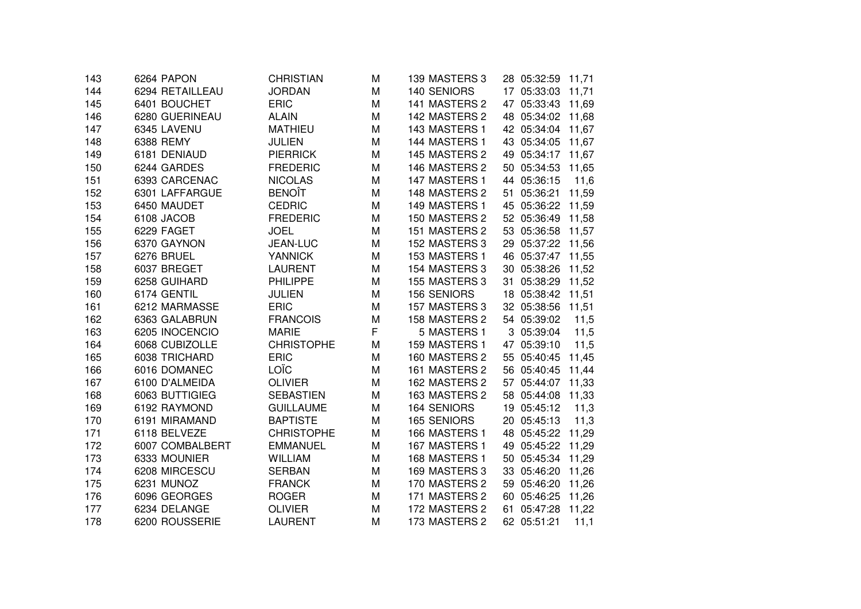| 143 | 6264 PAPON      | <b>CHRISTIAN</b>  | М | 139 MASTERS 3 | 28 05:32:59 11,71 |       |
|-----|-----------------|-------------------|---|---------------|-------------------|-------|
| 144 | 6294 RETAILLEAU | <b>JORDAN</b>     | M | 140 SENIORS   | 17 05:33:03       | 11,71 |
| 145 | 6401 BOUCHET    | <b>ERIC</b>       | M | 141 MASTERS 2 | 47 05:33:43       | 11,69 |
| 146 | 6280 GUERINEAU  | <b>ALAIN</b>      | M | 142 MASTERS 2 | 48 05:34:02 11,68 |       |
| 147 | 6345 LAVENU     | <b>MATHIEU</b>    | M | 143 MASTERS 1 | 42 05:34:04       | 11,67 |
| 148 | 6388 REMY       | <b>JULIEN</b>     | M | 144 MASTERS 1 | 43 05:34:05       | 11,67 |
| 149 | 6181 DENIAUD    | <b>PIERRICK</b>   | M | 145 MASTERS 2 | 49 05:34:17 11,67 |       |
| 150 | 6244 GARDES     | <b>FREDERIC</b>   | M | 146 MASTERS 2 | 50 05:34:53       | 11,65 |
| 151 | 6393 CARCENAC   | <b>NICOLAS</b>    | M | 147 MASTERS 1 | 44 05:36:15       | 11,6  |
| 152 | 6301 LAFFARGUE  | <b>BENOÎT</b>     | M | 148 MASTERS 2 | 05:36:21<br>51    | 11,59 |
| 153 | 6450 MAUDET     | <b>CEDRIC</b>     | M | 149 MASTERS 1 | 45 05:36:22 11,59 |       |
| 154 | 6108 JACOB      | <b>FREDERIC</b>   | M | 150 MASTERS 2 | 52 05:36:49 11,58 |       |
| 155 | 6229 FAGET      | <b>JOEL</b>       | M | 151 MASTERS 2 | 53 05:36:58 11,57 |       |
| 156 | 6370 GAYNON     | JEAN-LUC          | M | 152 MASTERS 3 | 29 05:37:22 11,56 |       |
| 157 | 6276 BRUEL      | <b>YANNICK</b>    | M | 153 MASTERS 1 | 46 05:37:47 11,55 |       |
| 158 | 6037 BREGET     | <b>LAURENT</b>    | M | 154 MASTERS 3 | 30 05:38:26       | 11,52 |
| 159 | 6258 GUIHARD    | <b>PHILIPPE</b>   | M | 155 MASTERS 3 | 31 05:38:29       | 11,52 |
| 160 | 6174 GENTIL     | <b>JULIEN</b>     | M | 156 SENIORS   | 18 05:38:42 11,51 |       |
| 161 | 6212 MARMASSE   | <b>ERIC</b>       | M | 157 MASTERS 3 | 32 05:38:56       | 11,51 |
| 162 | 6363 GALABRUN   | <b>FRANCOIS</b>   | M | 158 MASTERS 2 | 54 05:39:02       | 11,5  |
| 163 | 6205 INOCENCIO  | <b>MARIE</b>      | F | 5 MASTERS 1   | 3 05:39:04        | 11,5  |
| 164 | 6068 CUBIZOLLE  | <b>CHRISTOPHE</b> | M | 159 MASTERS 1 | 47 05:39:10       | 11,5  |
| 165 | 6038 TRICHARD   | <b>ERIC</b>       | M | 160 MASTERS 2 | 55 05:40:45       | 11,45 |
| 166 | 6016 DOMANEC    | LOÏC              | M | 161 MASTERS 2 | 56 05:40:45       | 11,44 |
| 167 | 6100 D'ALMEIDA  | <b>OLIVIER</b>    | M | 162 MASTERS 2 | 57 05:44:07 11,33 |       |
| 168 | 6063 BUTTIGIEG  | <b>SEBASTIEN</b>  | M | 163 MASTERS 2 | 58 05:44:08       | 11,33 |
| 169 | 6192 RAYMOND    | <b>GUILLAUME</b>  | M | 164 SENIORS   | 19 05:45:12       | 11,3  |
| 170 | 6191 MIRAMAND   | <b>BAPTISTE</b>   | M | 165 SENIORS   | 20 05:45:13       | 11,3  |
| 171 | 6118 BELVEZE    | <b>CHRISTOPHE</b> | M | 166 MASTERS 1 | 48 05:45:22       | 11,29 |
| 172 | 6007 COMBALBERT | <b>EMMANUEL</b>   | M | 167 MASTERS 1 | 05:45:22<br>49    | 11,29 |
| 173 | 6333 MOUNIER    | <b>WILLIAM</b>    | M | 168 MASTERS 1 | 50 05:45:34       | 11,29 |
| 174 | 6208 MIRCESCU   | <b>SERBAN</b>     | M | 169 MASTERS 3 | 33 05:46:20       | 11,26 |
| 175 | 6231 MUNOZ      | <b>FRANCK</b>     | M | 170 MASTERS 2 | 59 05:46:20 11,26 |       |
| 176 | 6096 GEORGES    | <b>ROGER</b>      | М | 171 MASTERS 2 | 60 05:46:25       | 11,26 |
| 177 | 6234 DELANGE    | <b>OLIVIER</b>    | M | 172 MASTERS 2 | 61<br>05:47:28    | 11,22 |
| 178 | 6200 ROUSSERIE  | <b>LAURENT</b>    | M | 173 MASTERS 2 | 62 05:51:21       | 11,1  |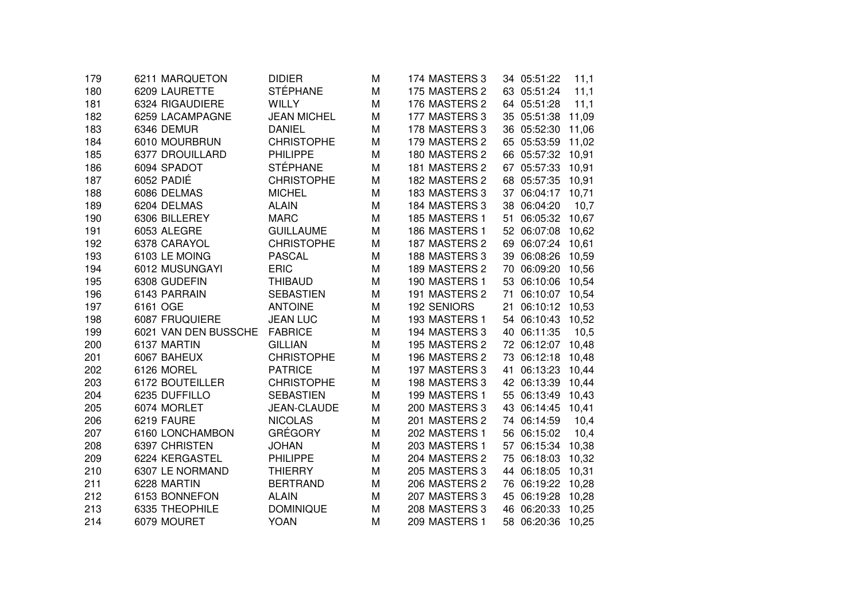| 179 | 6211 MARQUETON       | <b>DIDIER</b>      | М | 174 MASTERS 3 |    | 34 05:51:22       | 11,1  |
|-----|----------------------|--------------------|---|---------------|----|-------------------|-------|
| 180 | 6209 LAURETTE        | <b>STÉPHANE</b>    | M | 175 MASTERS 2 |    | 63 05:51:24       | 11,1  |
| 181 | 6324 RIGAUDIERE      | <b>WILLY</b>       | M | 176 MASTERS 2 |    | 64 05:51:28       | 11,1  |
| 182 | 6259 LACAMPAGNE      | <b>JEAN MICHEL</b> | M | 177 MASTERS 3 |    | 35 05:51:38       | 11,09 |
| 183 | 6346 DEMUR           | <b>DANIEL</b>      | M | 178 MASTERS 3 |    | 36 05:52:30       | 11,06 |
| 184 | 6010 MOURBRUN        | <b>CHRISTOPHE</b>  | M | 179 MASTERS 2 |    | 65 05:53:59       | 11,02 |
| 185 | 6377 DROUILLARD      | <b>PHILIPPE</b>    | M | 180 MASTERS 2 |    | 66 05:57:32       | 10,91 |
| 186 | 6094 SPADOT          | <b>STÉPHANE</b>    | M | 181 MASTERS 2 | 67 | 05:57:33          | 10,91 |
| 187 | 6052 PADIÉ           | <b>CHRISTOPHE</b>  | M | 182 MASTERS 2 | 68 | 05:57:35          | 10,91 |
| 188 | 6086 DELMAS          | <b>MICHEL</b>      | M | 183 MASTERS 3 | 37 | 06:04:17          | 10,71 |
| 189 | 6204 DELMAS          | <b>ALAIN</b>       | M | 184 MASTERS 3 |    | 38 06:04:20       | 10,7  |
| 190 | 6306 BILLEREY        | <b>MARC</b>        | M | 185 MASTERS 1 | 51 | 06:05:32          | 10,67 |
| 191 | 6053 ALEGRE          | <b>GUILLAUME</b>   | M | 186 MASTERS 1 |    | 52 06:07:08       | 10,62 |
| 192 | 6378 CARAYOL         | <b>CHRISTOPHE</b>  | M | 187 MASTERS 2 |    | 69 06:07:24       | 10,61 |
| 193 | 6103 LE MOING        | <b>PASCAL</b>      | M | 188 MASTERS 3 |    | 39 06:08:26 10,59 |       |
| 194 | 6012 MUSUNGAYI       | <b>ERIC</b>        | M | 189 MASTERS 2 |    | 70 06:09:20       | 10,56 |
| 195 | 6308 GUDEFIN         | <b>THIBAUD</b>     | M | 190 MASTERS 1 |    | 53 06:10:06       | 10,54 |
| 196 | 6143 PARRAIN         | <b>SEBASTIEN</b>   | M | 191 MASTERS 2 | 71 | 06:10:07          | 10,54 |
| 197 | 6161 OGE             | <b>ANTOINE</b>     | M | 192 SENIORS   | 21 | 06:10:12          | 10,53 |
| 198 | 6087 FRUQUIERE       | <b>JEAN LUC</b>    | M | 193 MASTERS 1 | 54 | 06:10:43          | 10,52 |
| 199 | 6021 VAN DEN BUSSCHE | <b>FABRICE</b>     | M | 194 MASTERS 3 | 40 | 06:11:35          | 10,5  |
| 200 | 6137 MARTIN          | <b>GILLIAN</b>     | M | 195 MASTERS 2 |    | 72 06:12:07       | 10,48 |
| 201 | 6067 BAHEUX          | <b>CHRISTOPHE</b>  | M | 196 MASTERS 2 |    | 73 06:12:18       | 10,48 |
| 202 | 6126 MOREL           | <b>PATRICE</b>     | M | 197 MASTERS 3 | 41 | 06:13:23          | 10,44 |
| 203 | 6172 BOUTEILLER      | <b>CHRISTOPHE</b>  | M | 198 MASTERS 3 |    | 42 06:13:39       | 10,44 |
| 204 | 6235 DUFFILLO        | <b>SEBASTIEN</b>   | M | 199 MASTERS 1 |    | 55 06:13:49       | 10,43 |
| 205 | 6074 MORLET          | <b>JEAN-CLAUDE</b> | M | 200 MASTERS 3 |    | 43 06:14:45       | 10,41 |
| 206 | 6219 FAURE           | <b>NICOLAS</b>     | M | 201 MASTERS 2 |    | 74 06:14:59       | 10,4  |
| 207 | 6160 LONCHAMBON      | <b>GRÉGORY</b>     | М | 202 MASTERS 1 |    | 56 06:15:02       | 10,4  |
| 208 | 6397 CHRISTEN        | <b>JOHAN</b>       | M | 203 MASTERS 1 | 57 | 06:15:34          | 10,38 |
| 209 | 6224 KERGASTEL       | <b>PHILIPPE</b>    | M | 204 MASTERS 2 | 75 | 06:18:03          | 10,32 |
| 210 | 6307 LE NORMAND      | <b>THIERRY</b>     | М | 205 MASTERS 3 | 44 | 06:18:05          | 10,31 |
| 211 | 6228 MARTIN          | <b>BERTRAND</b>    | М | 206 MASTERS 2 | 76 | 06:19:22          | 10,28 |
| 212 | 6153 BONNEFON        | <b>ALAIN</b>       | М | 207 MASTERS 3 | 45 | 06:19:28          | 10,28 |
| 213 | 6335 THEOPHILE       | <b>DOMINIQUE</b>   | M | 208 MASTERS 3 |    | 46 06:20:33       | 10,25 |
| 214 | 6079 MOURET          | <b>YOAN</b>        | М | 209 MASTERS 1 |    | 58 06:20:36       | 10,25 |
|     |                      |                    |   |               |    |                   |       |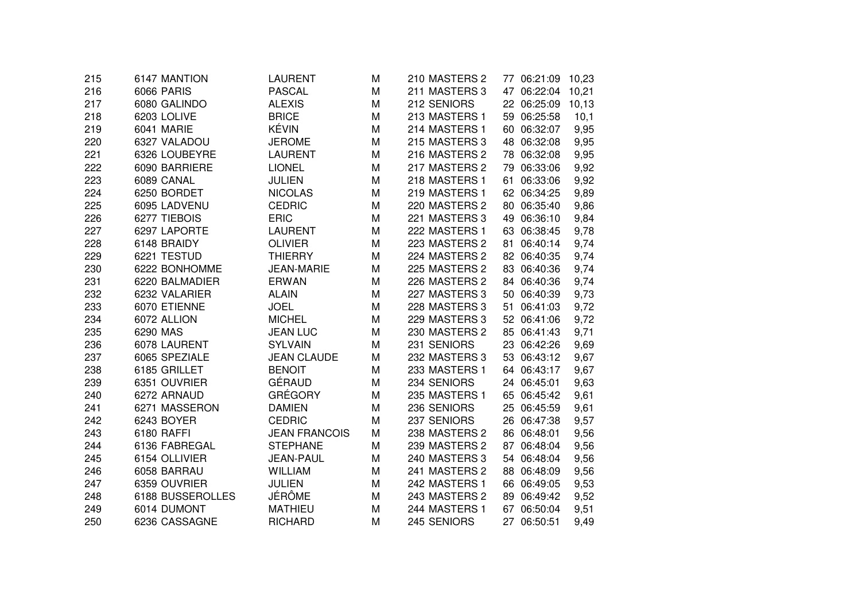| 215 | 6147 MANTION      | <b>LAURENT</b>       | M | 210 MASTERS 2 | 77 06:21:09    | 10,23 |
|-----|-------------------|----------------------|---|---------------|----------------|-------|
| 216 | <b>6066 PARIS</b> | <b>PASCAL</b>        | M | 211 MASTERS 3 | 47 06:22:04    | 10,21 |
| 217 | 6080 GALINDO      | <b>ALEXIS</b>        | M | 212 SENIORS   | 22 06:25:09    | 10,13 |
| 218 | 6203 LOLIVE       | <b>BRICE</b>         | M | 213 MASTERS 1 | 59 06:25:58    | 10,1  |
| 219 | 6041 MARIE        | KÉVIN                | M | 214 MASTERS 1 | 60 06:32:07    | 9,95  |
| 220 | 6327 VALADOU      | <b>JEROME</b>        | M | 215 MASTERS 3 | 48 06:32:08    | 9,95  |
| 221 | 6326 LOUBEYRE     | <b>LAURENT</b>       | M | 216 MASTERS 2 | 78 06:32:08    | 9,95  |
| 222 | 6090 BARRIERE     | <b>LIONEL</b>        | M | 217 MASTERS 2 | 79 06:33:06    | 9,92  |
| 223 | 6089 CANAL        | <b>JULIEN</b>        | M | 218 MASTERS 1 | 61 06:33:06    | 9,92  |
| 224 | 6250 BORDET       | <b>NICOLAS</b>       | M | 219 MASTERS 1 | 62 06:34:25    | 9,89  |
| 225 | 6095 LADVENU      | <b>CEDRIC</b>        | M | 220 MASTERS 2 | 80 06:35:40    | 9,86  |
| 226 | 6277 TIEBOIS      | <b>ERIC</b>          | M | 221 MASTERS 3 | 49 06:36:10    | 9,84  |
| 227 | 6297 LAPORTE      | <b>LAURENT</b>       | M | 222 MASTERS 1 | 63 06:38:45    | 9,78  |
| 228 | 6148 BRAIDY       | <b>OLIVIER</b>       | M | 223 MASTERS 2 | 81 06:40:14    | 9,74  |
| 229 | 6221 TESTUD       | <b>THIERRY</b>       | M | 224 MASTERS 2 | 82 06:40:35    | 9,74  |
| 230 | 6222 BONHOMME     | <b>JEAN-MARIE</b>    | M | 225 MASTERS 2 | 83 06:40:36    | 9,74  |
| 231 | 6220 BALMADIER    | <b>ERWAN</b>         | M | 226 MASTERS 2 | 84 06:40:36    | 9,74  |
| 232 | 6232 VALARIER     | <b>ALAIN</b>         | M | 227 MASTERS 3 | 50<br>06:40:39 | 9,73  |
| 233 | 6070 ETIENNE      | <b>JOEL</b>          | M | 228 MASTERS 3 | 51<br>06:41:03 | 9,72  |
| 234 | 6072 ALLION       | <b>MICHEL</b>        | M | 229 MASTERS 3 | 52 06:41:06    | 9,72  |
| 235 | 6290 MAS          | <b>JEAN LUC</b>      | M | 230 MASTERS 2 | 85 06:41:43    | 9,71  |
| 236 | 6078 LAURENT      | <b>SYLVAIN</b>       | M | 231 SENIORS   | 23 06:42:26    | 9,69  |
| 237 | 6065 SPEZIALE     | <b>JEAN CLAUDE</b>   | M | 232 MASTERS 3 | 53 06:43:12    | 9,67  |
| 238 | 6185 GRILLET      | <b>BENOIT</b>        | M | 233 MASTERS 1 | 64 06:43:17    | 9,67  |
| 239 | 6351 OUVRIER      | GÉRAUD               | M | 234 SENIORS   | 24 06:45:01    | 9,63  |
| 240 | 6272 ARNAUD       | <b>GRÉGORY</b>       | M | 235 MASTERS 1 | 65 06:45:42    | 9,61  |
| 241 | 6271 MASSERON     | <b>DAMIEN</b>        | M | 236 SENIORS   | 25 06:45:59    | 9,61  |
| 242 | 6243 BOYER        | <b>CEDRIC</b>        | M | 237 SENIORS   | 26 06:47:38    | 9,57  |
| 243 | 6180 RAFFI        | <b>JEAN FRANCOIS</b> | M | 238 MASTERS 2 | 86 06:48:01    | 9,56  |
| 244 | 6136 FABREGAL     | <b>STEPHANE</b>      | M | 239 MASTERS 2 | 87 06:48:04    | 9,56  |
| 245 | 6154 OLLIVIER     | <b>JEAN-PAUL</b>     | M | 240 MASTERS 3 | 54 06:48:04    | 9,56  |
| 246 | 6058 BARRAU       | <b>WILLIAM</b>       | M | 241 MASTERS 2 | 88 06:48:09    | 9,56  |
| 247 | 6359 OUVRIER      | <b>JULIEN</b>        | M | 242 MASTERS 1 | 66 06:49:05    | 9,53  |
| 248 | 6188 BUSSEROLLES  | <b>JÉRÔME</b>        | M | 243 MASTERS 2 | 89 06:49:42    | 9,52  |
| 249 | 6014 DUMONT       | <b>MATHIEU</b>       | M | 244 MASTERS 1 | 67 06:50:04    | 9,51  |
| 250 | 6236 CASSAGNE     | <b>RICHARD</b>       | M | 245 SENIORS   | 27 06:50:51    | 9,49  |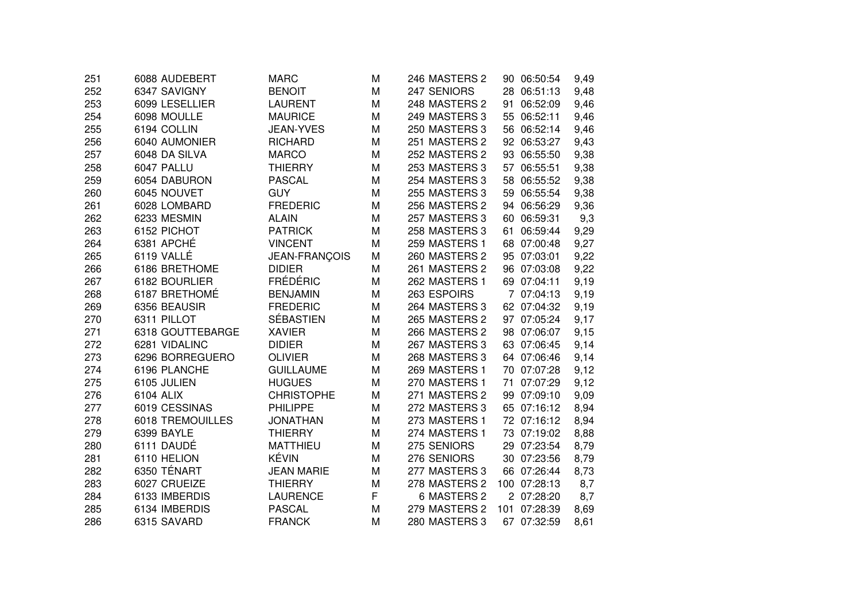| 251 | 6088 AUDEBERT           | <b>MARC</b>       | M | 246 MASTERS 2 | 90 06:50:54  | 9,49 |
|-----|-------------------------|-------------------|---|---------------|--------------|------|
| 252 | 6347 SAVIGNY            | <b>BENOIT</b>     | M | 247 SENIORS   | 28 06:51:13  | 9,48 |
| 253 | 6099 LESELLIER          | <b>LAURENT</b>    | M | 248 MASTERS 2 | 91 06:52:09  | 9,46 |
| 254 | 6098 MOULLE             | <b>MAURICE</b>    | M | 249 MASTERS 3 | 55 06:52:11  | 9,46 |
| 255 | 6194 COLLIN             | <b>JEAN-YVES</b>  | M | 250 MASTERS 3 | 56 06:52:14  | 9,46 |
| 256 | 6040 AUMONIER           | <b>RICHARD</b>    | M | 251 MASTERS 2 | 92 06:53:27  | 9,43 |
| 257 | 6048 DA SILVA           | <b>MARCO</b>      | M | 252 MASTERS 2 | 93 06:55:50  | 9,38 |
| 258 | 6047 PALLU              | <b>THIERRY</b>    | M | 253 MASTERS 3 | 57 06:55:51  | 9,38 |
| 259 | 6054 DABURON            | <b>PASCAL</b>     | M | 254 MASTERS 3 | 58 06:55:52  | 9,38 |
| 260 | 6045 NOUVET             | <b>GUY</b>        | M | 255 MASTERS 3 | 59 06:55:54  | 9,38 |
| 261 | 6028 LOMBARD            | <b>FREDERIC</b>   | M | 256 MASTERS 2 | 94 06:56:29  | 9,36 |
| 262 | 6233 MESMIN             | <b>ALAIN</b>      | M | 257 MASTERS 3 | 60 06:59:31  | 9,3  |
| 263 | 6152 PICHOT             | <b>PATRICK</b>    | M | 258 MASTERS 3 | 61 06:59:44  | 9,29 |
| 264 | 6381 APCHÉ              | <b>VINCENT</b>    | M | 259 MASTERS 1 | 68 07:00:48  | 9,27 |
| 265 | 6119 VALLÉ              | JEAN-FRANÇOIS     | M | 260 MASTERS 2 | 95 07:03:01  | 9,22 |
| 266 | 6186 BRETHOME           | <b>DIDIER</b>     | M | 261 MASTERS 2 | 96 07:03:08  | 9,22 |
| 267 | 6182 BOURLIER           | <b>FRÉDÉRIC</b>   | M | 262 MASTERS 1 | 69 07:04:11  | 9,19 |
| 268 | 6187 BRETHOMÉ           | <b>BENJAMIN</b>   | M | 263 ESPOIRS   | 7 07:04:13   | 9,19 |
| 269 | 6356 BEAUSIR            | <b>FREDERIC</b>   | M | 264 MASTERS 3 | 62 07:04:32  | 9,19 |
| 270 | 6311 PILLOT             | SÉBASTIEN         | M | 265 MASTERS 2 | 97 07:05:24  | 9,17 |
| 271 | 6318 GOUTTEBARGE        | <b>XAVIER</b>     | M | 266 MASTERS 2 | 98 07:06:07  | 9,15 |
| 272 | 6281 VIDALINC           | <b>DIDIER</b>     | M | 267 MASTERS 3 | 63 07:06:45  | 9,14 |
| 273 | 6296 BORREGUERO         | <b>OLIVIER</b>    | M | 268 MASTERS 3 | 64 07:06:46  | 9,14 |
| 274 | 6196 PLANCHE            | <b>GUILLAUME</b>  | M | 269 MASTERS 1 | 70 07:07:28  | 9,12 |
| 275 | 6105 JULIEN             | <b>HUGUES</b>     | M | 270 MASTERS 1 | 71 07:07:29  | 9,12 |
| 276 | 6104 ALIX               | <b>CHRISTOPHE</b> | M | 271 MASTERS 2 | 99 07:09:10  | 9,09 |
| 277 | 6019 CESSINAS           | <b>PHILIPPE</b>   | M | 272 MASTERS 3 | 65 07:16:12  | 8,94 |
| 278 | <b>6018 TREMOUILLES</b> | <b>JONATHAN</b>   | M | 273 MASTERS 1 | 72 07:16:12  | 8,94 |
| 279 | 6399 BAYLE              | <b>THIERRY</b>    | M | 274 MASTERS 1 | 73 07:19:02  | 8,88 |
| 280 | 6111 DAUDÉ              | <b>MATTHIEU</b>   | M | 275 SENIORS   | 29 07:23:54  | 8,79 |
| 281 | 6110 HELION             | KÉVIN             | M | 276 SENIORS   | 30 07:23:56  | 8,79 |
| 282 | 6350 TÉNART             | <b>JEAN MARIE</b> | M | 277 MASTERS 3 | 66 07:26:44  | 8,73 |
| 283 | 6027 CRUEIZE            | <b>THIERRY</b>    | M | 278 MASTERS 2 | 100 07:28:13 | 8,7  |
| 284 | 6133 IMBERDIS           | <b>LAURENCE</b>   | F | 6 MASTERS 2   | 2 07:28:20   | 8,7  |
| 285 | 6134 IMBERDIS           | <b>PASCAL</b>     | M | 279 MASTERS 2 | 101 07:28:39 | 8,69 |
| 286 | 6315 SAVARD             | <b>FRANCK</b>     | M | 280 MASTERS 3 | 67 07:32:59  | 8,61 |
|     |                         |                   |   |               |              |      |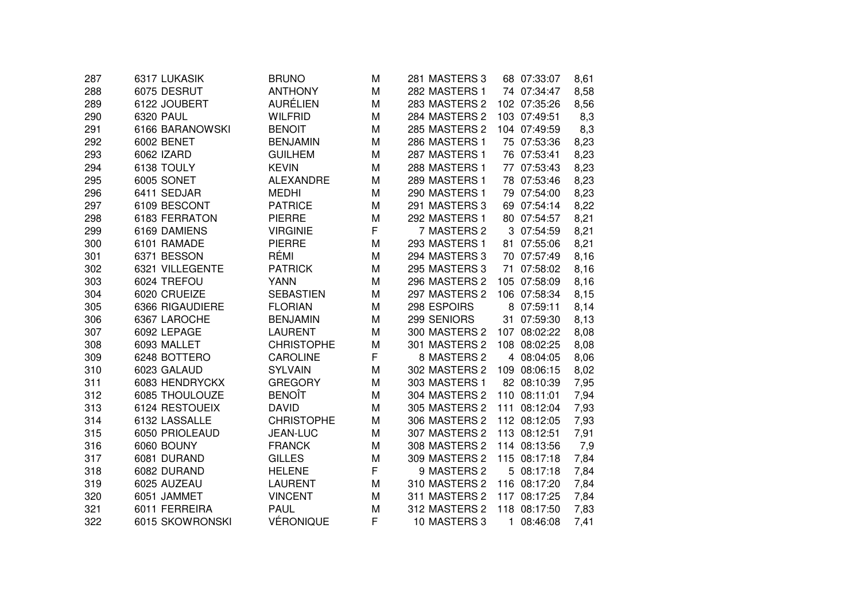| 6075 DESRUT<br>282 MASTERS 1<br>288<br><b>ANTHONY</b><br>M<br>74 07:34:47<br><b>AURÉLIEN</b><br>289<br>283 MASTERS 2<br>6122 JOUBERT<br>M<br>102 07:35:26<br>290<br>6320 PAUL<br><b>WILFRID</b><br>M<br>284 MASTERS 2<br>103 07:49:51<br>291<br><b>BENOIT</b><br>285 MASTERS 2<br>104 07:49:59<br>6166 BARANOWSKI<br>M<br>292<br><b>6002 BENET</b><br><b>BENJAMIN</b><br>M<br>286 MASTERS 1<br>75 07:53:36<br>293<br>6062 IZARD<br><b>GUILHEM</b><br>287 MASTERS 1<br>76 07:53:41<br>M<br>6138 TOULY<br>288 MASTERS 1<br>294<br><b>KEVIN</b><br>M<br>77 07:53:43<br>6005 SONET<br>295<br><b>ALEXANDRE</b><br>289 MASTERS 1<br>78 07:53:46<br>M<br>296<br>6411 SEDJAR<br>290 MASTERS 1<br><b>MEDHI</b><br>79 07:54:00<br>M<br>297<br>6109 BESCONT<br><b>PATRICE</b><br>291 MASTERS 3<br>69 07:54:14<br>M<br>298<br>6183 FERRATON<br><b>PIERRE</b><br>292 MASTERS 1<br>M<br>80 07:54:57<br>F<br>299<br><b>VIRGINIE</b><br>7 MASTERS 2<br>3 07:54:59<br>6169 DAMIENS<br><b>PIERRE</b><br>293 MASTERS 1<br>81 07:55:06<br>300<br>6101 RAMADE<br>M<br>RÉMI<br>6371 BESSON<br>301<br>M<br>294 MASTERS 3<br>70 07:57:49<br>6321 VILLEGENTE<br>M<br>295 MASTERS 3<br>71 07:58:02<br>302<br><b>PATRICK</b><br>6024 TREFOU<br>303<br><b>YANN</b><br>M<br>296 MASTERS 2<br>105 07:58:09<br>304<br>6020 CRUEIZE<br><b>SEBASTIEN</b><br>297 MASTERS 2<br>106 07:58:34<br>M<br>298 ESPOIRS<br>305<br>6366 RIGAUDIERE<br><b>FLORIAN</b><br>M<br>8<br>07:59:11<br>299 SENIORS<br>306<br>6367 LAROCHE<br><b>BENJAMIN</b><br>31 07:59:30<br>M<br>307<br>300 MASTERS 2<br>6092 LEPAGE<br><b>LAURENT</b><br>M<br>107 08:02:22<br>308<br>6093 MALLET<br><b>CHRISTOPHE</b><br>301 MASTERS 2<br>108 08:02:25<br>M<br>F<br>309<br>6248 BOTTERO<br>8 MASTERS 2<br><b>CAROLINE</b><br>4 08:04:05<br>310<br><b>SYLVAIN</b><br>302 MASTERS 2<br>6023 GALAUD<br>M<br>109 08:06:15<br>311<br>6083 HENDRYCKX<br><b>GREGORY</b><br>M<br>303 MASTERS 1<br>82 08:10:39<br><b>BENOÎT</b><br>312<br>6085 THOULOUZE<br>M<br>304 MASTERS 2<br>110 08:11:01<br>313<br>6124 RESTOUEIX<br>305 MASTERS 2<br><b>DAVID</b><br>M<br>111 08:12:04<br>6132 LASSALLE<br>314<br><b>CHRISTOPHE</b><br>M<br>306 MASTERS 2<br>112 08:12:05<br>6050 PRIOLEAUD<br>307 MASTERS 2<br>113 08:12:51<br>315<br>JEAN-LUC<br>M<br>316<br>6060 BOUNY<br><b>FRANCK</b><br>M<br>308 MASTERS 2<br>114 08:13:56<br>317<br>6081 DURAND<br><b>GILLES</b><br>309 MASTERS 2<br>M<br>115 08:17:18<br>F<br>9 MASTERS 2<br>318<br>6082 DURAND<br><b>HELENE</b><br>5 08:17:18<br>6025 AUZEAU<br>310 MASTERS 2<br>319<br><b>LAURENT</b><br>M<br>116 08:17:20<br>320<br>6051 JAMMET<br><b>VINCENT</b><br>311 MASTERS 2<br>117 08:17:25<br>M<br>6011 FERREIRA<br><b>PAUL</b><br>312 MASTERS 2<br>118 08:17:50<br>321<br>M<br><b>VÉRONIQUE</b><br>F<br>322<br>6015 SKOWRONSKI<br>10 MASTERS 3<br>$\mathbf{1}$<br>08:46:08 | 287 | 6317 LUKASIK | <b>BRUNO</b> | M | 281 MASTERS 3 | 68 07:33:07 | 8,61 |
|---------------------------------------------------------------------------------------------------------------------------------------------------------------------------------------------------------------------------------------------------------------------------------------------------------------------------------------------------------------------------------------------------------------------------------------------------------------------------------------------------------------------------------------------------------------------------------------------------------------------------------------------------------------------------------------------------------------------------------------------------------------------------------------------------------------------------------------------------------------------------------------------------------------------------------------------------------------------------------------------------------------------------------------------------------------------------------------------------------------------------------------------------------------------------------------------------------------------------------------------------------------------------------------------------------------------------------------------------------------------------------------------------------------------------------------------------------------------------------------------------------------------------------------------------------------------------------------------------------------------------------------------------------------------------------------------------------------------------------------------------------------------------------------------------------------------------------------------------------------------------------------------------------------------------------------------------------------------------------------------------------------------------------------------------------------------------------------------------------------------------------------------------------------------------------------------------------------------------------------------------------------------------------------------------------------------------------------------------------------------------------------------------------------------------------------------------------------------------------------------------------------------------------------------------------------------------------------------------------------------------------------------------------------------------------------------------------------------------------------------------------------------------------------------------------------------------------------------|-----|--------------|--------------|---|---------------|-------------|------|
|                                                                                                                                                                                                                                                                                                                                                                                                                                                                                                                                                                                                                                                                                                                                                                                                                                                                                                                                                                                                                                                                                                                                                                                                                                                                                                                                                                                                                                                                                                                                                                                                                                                                                                                                                                                                                                                                                                                                                                                                                                                                                                                                                                                                                                                                                                                                                                                                                                                                                                                                                                                                                                                                                                                                                                                                                                             |     |              |              |   |               |             | 8,58 |
|                                                                                                                                                                                                                                                                                                                                                                                                                                                                                                                                                                                                                                                                                                                                                                                                                                                                                                                                                                                                                                                                                                                                                                                                                                                                                                                                                                                                                                                                                                                                                                                                                                                                                                                                                                                                                                                                                                                                                                                                                                                                                                                                                                                                                                                                                                                                                                                                                                                                                                                                                                                                                                                                                                                                                                                                                                             |     |              |              |   |               |             | 8,56 |
|                                                                                                                                                                                                                                                                                                                                                                                                                                                                                                                                                                                                                                                                                                                                                                                                                                                                                                                                                                                                                                                                                                                                                                                                                                                                                                                                                                                                                                                                                                                                                                                                                                                                                                                                                                                                                                                                                                                                                                                                                                                                                                                                                                                                                                                                                                                                                                                                                                                                                                                                                                                                                                                                                                                                                                                                                                             |     |              |              |   |               |             | 8,3  |
|                                                                                                                                                                                                                                                                                                                                                                                                                                                                                                                                                                                                                                                                                                                                                                                                                                                                                                                                                                                                                                                                                                                                                                                                                                                                                                                                                                                                                                                                                                                                                                                                                                                                                                                                                                                                                                                                                                                                                                                                                                                                                                                                                                                                                                                                                                                                                                                                                                                                                                                                                                                                                                                                                                                                                                                                                                             |     |              |              |   |               |             | 8,3  |
|                                                                                                                                                                                                                                                                                                                                                                                                                                                                                                                                                                                                                                                                                                                                                                                                                                                                                                                                                                                                                                                                                                                                                                                                                                                                                                                                                                                                                                                                                                                                                                                                                                                                                                                                                                                                                                                                                                                                                                                                                                                                                                                                                                                                                                                                                                                                                                                                                                                                                                                                                                                                                                                                                                                                                                                                                                             |     |              |              |   |               |             | 8,23 |
|                                                                                                                                                                                                                                                                                                                                                                                                                                                                                                                                                                                                                                                                                                                                                                                                                                                                                                                                                                                                                                                                                                                                                                                                                                                                                                                                                                                                                                                                                                                                                                                                                                                                                                                                                                                                                                                                                                                                                                                                                                                                                                                                                                                                                                                                                                                                                                                                                                                                                                                                                                                                                                                                                                                                                                                                                                             |     |              |              |   |               |             | 8,23 |
|                                                                                                                                                                                                                                                                                                                                                                                                                                                                                                                                                                                                                                                                                                                                                                                                                                                                                                                                                                                                                                                                                                                                                                                                                                                                                                                                                                                                                                                                                                                                                                                                                                                                                                                                                                                                                                                                                                                                                                                                                                                                                                                                                                                                                                                                                                                                                                                                                                                                                                                                                                                                                                                                                                                                                                                                                                             |     |              |              |   |               |             | 8,23 |
|                                                                                                                                                                                                                                                                                                                                                                                                                                                                                                                                                                                                                                                                                                                                                                                                                                                                                                                                                                                                                                                                                                                                                                                                                                                                                                                                                                                                                                                                                                                                                                                                                                                                                                                                                                                                                                                                                                                                                                                                                                                                                                                                                                                                                                                                                                                                                                                                                                                                                                                                                                                                                                                                                                                                                                                                                                             |     |              |              |   |               |             | 8,23 |
|                                                                                                                                                                                                                                                                                                                                                                                                                                                                                                                                                                                                                                                                                                                                                                                                                                                                                                                                                                                                                                                                                                                                                                                                                                                                                                                                                                                                                                                                                                                                                                                                                                                                                                                                                                                                                                                                                                                                                                                                                                                                                                                                                                                                                                                                                                                                                                                                                                                                                                                                                                                                                                                                                                                                                                                                                                             |     |              |              |   |               |             | 8,23 |
|                                                                                                                                                                                                                                                                                                                                                                                                                                                                                                                                                                                                                                                                                                                                                                                                                                                                                                                                                                                                                                                                                                                                                                                                                                                                                                                                                                                                                                                                                                                                                                                                                                                                                                                                                                                                                                                                                                                                                                                                                                                                                                                                                                                                                                                                                                                                                                                                                                                                                                                                                                                                                                                                                                                                                                                                                                             |     |              |              |   |               |             | 8,22 |
|                                                                                                                                                                                                                                                                                                                                                                                                                                                                                                                                                                                                                                                                                                                                                                                                                                                                                                                                                                                                                                                                                                                                                                                                                                                                                                                                                                                                                                                                                                                                                                                                                                                                                                                                                                                                                                                                                                                                                                                                                                                                                                                                                                                                                                                                                                                                                                                                                                                                                                                                                                                                                                                                                                                                                                                                                                             |     |              |              |   |               |             | 8,21 |
|                                                                                                                                                                                                                                                                                                                                                                                                                                                                                                                                                                                                                                                                                                                                                                                                                                                                                                                                                                                                                                                                                                                                                                                                                                                                                                                                                                                                                                                                                                                                                                                                                                                                                                                                                                                                                                                                                                                                                                                                                                                                                                                                                                                                                                                                                                                                                                                                                                                                                                                                                                                                                                                                                                                                                                                                                                             |     |              |              |   |               |             | 8,21 |
|                                                                                                                                                                                                                                                                                                                                                                                                                                                                                                                                                                                                                                                                                                                                                                                                                                                                                                                                                                                                                                                                                                                                                                                                                                                                                                                                                                                                                                                                                                                                                                                                                                                                                                                                                                                                                                                                                                                                                                                                                                                                                                                                                                                                                                                                                                                                                                                                                                                                                                                                                                                                                                                                                                                                                                                                                                             |     |              |              |   |               |             | 8,21 |
|                                                                                                                                                                                                                                                                                                                                                                                                                                                                                                                                                                                                                                                                                                                                                                                                                                                                                                                                                                                                                                                                                                                                                                                                                                                                                                                                                                                                                                                                                                                                                                                                                                                                                                                                                                                                                                                                                                                                                                                                                                                                                                                                                                                                                                                                                                                                                                                                                                                                                                                                                                                                                                                                                                                                                                                                                                             |     |              |              |   |               |             | 8,16 |
|                                                                                                                                                                                                                                                                                                                                                                                                                                                                                                                                                                                                                                                                                                                                                                                                                                                                                                                                                                                                                                                                                                                                                                                                                                                                                                                                                                                                                                                                                                                                                                                                                                                                                                                                                                                                                                                                                                                                                                                                                                                                                                                                                                                                                                                                                                                                                                                                                                                                                                                                                                                                                                                                                                                                                                                                                                             |     |              |              |   |               |             | 8,16 |
|                                                                                                                                                                                                                                                                                                                                                                                                                                                                                                                                                                                                                                                                                                                                                                                                                                                                                                                                                                                                                                                                                                                                                                                                                                                                                                                                                                                                                                                                                                                                                                                                                                                                                                                                                                                                                                                                                                                                                                                                                                                                                                                                                                                                                                                                                                                                                                                                                                                                                                                                                                                                                                                                                                                                                                                                                                             |     |              |              |   |               |             | 8,16 |
|                                                                                                                                                                                                                                                                                                                                                                                                                                                                                                                                                                                                                                                                                                                                                                                                                                                                                                                                                                                                                                                                                                                                                                                                                                                                                                                                                                                                                                                                                                                                                                                                                                                                                                                                                                                                                                                                                                                                                                                                                                                                                                                                                                                                                                                                                                                                                                                                                                                                                                                                                                                                                                                                                                                                                                                                                                             |     |              |              |   |               |             | 8,15 |
|                                                                                                                                                                                                                                                                                                                                                                                                                                                                                                                                                                                                                                                                                                                                                                                                                                                                                                                                                                                                                                                                                                                                                                                                                                                                                                                                                                                                                                                                                                                                                                                                                                                                                                                                                                                                                                                                                                                                                                                                                                                                                                                                                                                                                                                                                                                                                                                                                                                                                                                                                                                                                                                                                                                                                                                                                                             |     |              |              |   |               |             | 8,14 |
|                                                                                                                                                                                                                                                                                                                                                                                                                                                                                                                                                                                                                                                                                                                                                                                                                                                                                                                                                                                                                                                                                                                                                                                                                                                                                                                                                                                                                                                                                                                                                                                                                                                                                                                                                                                                                                                                                                                                                                                                                                                                                                                                                                                                                                                                                                                                                                                                                                                                                                                                                                                                                                                                                                                                                                                                                                             |     |              |              |   |               |             | 8,13 |
|                                                                                                                                                                                                                                                                                                                                                                                                                                                                                                                                                                                                                                                                                                                                                                                                                                                                                                                                                                                                                                                                                                                                                                                                                                                                                                                                                                                                                                                                                                                                                                                                                                                                                                                                                                                                                                                                                                                                                                                                                                                                                                                                                                                                                                                                                                                                                                                                                                                                                                                                                                                                                                                                                                                                                                                                                                             |     |              |              |   |               |             | 8,08 |
|                                                                                                                                                                                                                                                                                                                                                                                                                                                                                                                                                                                                                                                                                                                                                                                                                                                                                                                                                                                                                                                                                                                                                                                                                                                                                                                                                                                                                                                                                                                                                                                                                                                                                                                                                                                                                                                                                                                                                                                                                                                                                                                                                                                                                                                                                                                                                                                                                                                                                                                                                                                                                                                                                                                                                                                                                                             |     |              |              |   |               |             | 8,08 |
|                                                                                                                                                                                                                                                                                                                                                                                                                                                                                                                                                                                                                                                                                                                                                                                                                                                                                                                                                                                                                                                                                                                                                                                                                                                                                                                                                                                                                                                                                                                                                                                                                                                                                                                                                                                                                                                                                                                                                                                                                                                                                                                                                                                                                                                                                                                                                                                                                                                                                                                                                                                                                                                                                                                                                                                                                                             |     |              |              |   |               |             | 8,06 |
|                                                                                                                                                                                                                                                                                                                                                                                                                                                                                                                                                                                                                                                                                                                                                                                                                                                                                                                                                                                                                                                                                                                                                                                                                                                                                                                                                                                                                                                                                                                                                                                                                                                                                                                                                                                                                                                                                                                                                                                                                                                                                                                                                                                                                                                                                                                                                                                                                                                                                                                                                                                                                                                                                                                                                                                                                                             |     |              |              |   |               |             | 8,02 |
|                                                                                                                                                                                                                                                                                                                                                                                                                                                                                                                                                                                                                                                                                                                                                                                                                                                                                                                                                                                                                                                                                                                                                                                                                                                                                                                                                                                                                                                                                                                                                                                                                                                                                                                                                                                                                                                                                                                                                                                                                                                                                                                                                                                                                                                                                                                                                                                                                                                                                                                                                                                                                                                                                                                                                                                                                                             |     |              |              |   |               |             | 7,95 |
|                                                                                                                                                                                                                                                                                                                                                                                                                                                                                                                                                                                                                                                                                                                                                                                                                                                                                                                                                                                                                                                                                                                                                                                                                                                                                                                                                                                                                                                                                                                                                                                                                                                                                                                                                                                                                                                                                                                                                                                                                                                                                                                                                                                                                                                                                                                                                                                                                                                                                                                                                                                                                                                                                                                                                                                                                                             |     |              |              |   |               |             | 7,94 |
|                                                                                                                                                                                                                                                                                                                                                                                                                                                                                                                                                                                                                                                                                                                                                                                                                                                                                                                                                                                                                                                                                                                                                                                                                                                                                                                                                                                                                                                                                                                                                                                                                                                                                                                                                                                                                                                                                                                                                                                                                                                                                                                                                                                                                                                                                                                                                                                                                                                                                                                                                                                                                                                                                                                                                                                                                                             |     |              |              |   |               |             | 7,93 |
|                                                                                                                                                                                                                                                                                                                                                                                                                                                                                                                                                                                                                                                                                                                                                                                                                                                                                                                                                                                                                                                                                                                                                                                                                                                                                                                                                                                                                                                                                                                                                                                                                                                                                                                                                                                                                                                                                                                                                                                                                                                                                                                                                                                                                                                                                                                                                                                                                                                                                                                                                                                                                                                                                                                                                                                                                                             |     |              |              |   |               |             | 7,93 |
|                                                                                                                                                                                                                                                                                                                                                                                                                                                                                                                                                                                                                                                                                                                                                                                                                                                                                                                                                                                                                                                                                                                                                                                                                                                                                                                                                                                                                                                                                                                                                                                                                                                                                                                                                                                                                                                                                                                                                                                                                                                                                                                                                                                                                                                                                                                                                                                                                                                                                                                                                                                                                                                                                                                                                                                                                                             |     |              |              |   |               |             | 7,91 |
|                                                                                                                                                                                                                                                                                                                                                                                                                                                                                                                                                                                                                                                                                                                                                                                                                                                                                                                                                                                                                                                                                                                                                                                                                                                                                                                                                                                                                                                                                                                                                                                                                                                                                                                                                                                                                                                                                                                                                                                                                                                                                                                                                                                                                                                                                                                                                                                                                                                                                                                                                                                                                                                                                                                                                                                                                                             |     |              |              |   |               |             | 7,9  |
|                                                                                                                                                                                                                                                                                                                                                                                                                                                                                                                                                                                                                                                                                                                                                                                                                                                                                                                                                                                                                                                                                                                                                                                                                                                                                                                                                                                                                                                                                                                                                                                                                                                                                                                                                                                                                                                                                                                                                                                                                                                                                                                                                                                                                                                                                                                                                                                                                                                                                                                                                                                                                                                                                                                                                                                                                                             |     |              |              |   |               |             | 7,84 |
|                                                                                                                                                                                                                                                                                                                                                                                                                                                                                                                                                                                                                                                                                                                                                                                                                                                                                                                                                                                                                                                                                                                                                                                                                                                                                                                                                                                                                                                                                                                                                                                                                                                                                                                                                                                                                                                                                                                                                                                                                                                                                                                                                                                                                                                                                                                                                                                                                                                                                                                                                                                                                                                                                                                                                                                                                                             |     |              |              |   |               |             | 7,84 |
|                                                                                                                                                                                                                                                                                                                                                                                                                                                                                                                                                                                                                                                                                                                                                                                                                                                                                                                                                                                                                                                                                                                                                                                                                                                                                                                                                                                                                                                                                                                                                                                                                                                                                                                                                                                                                                                                                                                                                                                                                                                                                                                                                                                                                                                                                                                                                                                                                                                                                                                                                                                                                                                                                                                                                                                                                                             |     |              |              |   |               |             | 7,84 |
|                                                                                                                                                                                                                                                                                                                                                                                                                                                                                                                                                                                                                                                                                                                                                                                                                                                                                                                                                                                                                                                                                                                                                                                                                                                                                                                                                                                                                                                                                                                                                                                                                                                                                                                                                                                                                                                                                                                                                                                                                                                                                                                                                                                                                                                                                                                                                                                                                                                                                                                                                                                                                                                                                                                                                                                                                                             |     |              |              |   |               |             | 7,84 |
|                                                                                                                                                                                                                                                                                                                                                                                                                                                                                                                                                                                                                                                                                                                                                                                                                                                                                                                                                                                                                                                                                                                                                                                                                                                                                                                                                                                                                                                                                                                                                                                                                                                                                                                                                                                                                                                                                                                                                                                                                                                                                                                                                                                                                                                                                                                                                                                                                                                                                                                                                                                                                                                                                                                                                                                                                                             |     |              |              |   |               |             | 7,83 |
|                                                                                                                                                                                                                                                                                                                                                                                                                                                                                                                                                                                                                                                                                                                                                                                                                                                                                                                                                                                                                                                                                                                                                                                                                                                                                                                                                                                                                                                                                                                                                                                                                                                                                                                                                                                                                                                                                                                                                                                                                                                                                                                                                                                                                                                                                                                                                                                                                                                                                                                                                                                                                                                                                                                                                                                                                                             |     |              |              |   |               |             | 7,41 |